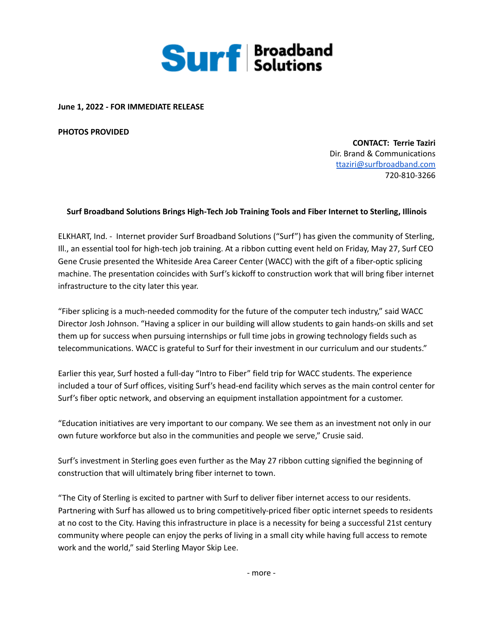

**June 1, 2022 - FOR IMMEDIATE RELEASE**

**PHOTOS PROVIDED**

**CONTACT: Terrie Taziri** Dir. Brand & Communications [ttaziri@surfbroadband.com](mailto:ttaziri@surfbroadband.com) 720-810-3266

## **Surf Broadband Solutions Brings High-Tech Job Training Tools and Fiber Internet to Sterling, Illinois**

ELKHART, Ind. - Internet provider Surf Broadband Solutions ("Surf") has given the community of Sterling, Ill., an essential tool for high-tech job training. At a ribbon cutting event held on Friday, May 27, Surf CEO Gene Crusie presented the Whiteside Area Career Center (WACC) with the gift of a fiber-optic splicing machine. The presentation coincides with Surf's kickoff to construction work that will bring fiber internet infrastructure to the city later this year.

"Fiber splicing is a much-needed commodity for the future of the computer tech industry," said WACC Director Josh Johnson. "Having a splicer in our building will allow students to gain hands-on skills and set them up for success when pursuing internships or full time jobs in growing technology fields such as telecommunications. WACC is grateful to Surf for their investment in our curriculum and our students."

Earlier this year, Surf hosted a full-day "Intro to Fiber" field trip for WACC students. The experience included a tour of Surf offices, visiting Surf's head-end facility which serves as the main control center for Surf's fiber optic network, and observing an equipment installation appointment for a customer.

"Education initiatives are very important to our company. We see them as an investment not only in our own future workforce but also in the communities and people we serve," Crusie said.

Surf's investment in Sterling goes even further as the May 27 ribbon cutting signified the beginning of construction that will ultimately bring fiber internet to town.

"The City of Sterling is excited to partner with Surf to deliver fiber internet access to our residents. Partnering with Surf has allowed us to bring competitively-priced fiber optic internet speeds to residents at no cost to the City. Having this infrastructure in place is a necessity for being a successful 21st century community where people can enjoy the perks of living in a small city while having full access to remote work and the world," said Sterling Mayor Skip Lee.

- more -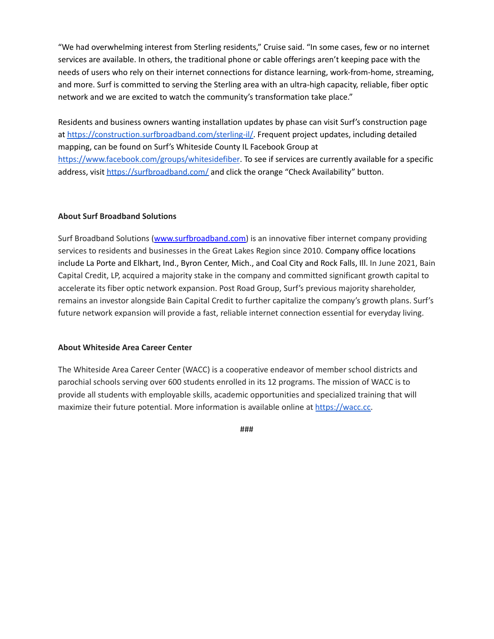"We had overwhelming interest from Sterling residents," Cruise said. "In some cases, few or no internet services are available. In others, the traditional phone or cable offerings aren't keeping pace with the needs of users who rely on their internet connections for distance learning, work-from-home, streaming, and more. Surf is committed to serving the Sterling area with an ultra-high capacity, reliable, fiber optic network and we are excited to watch the community's transformation take place."

Residents and business owners wanting installation updates by phase can visit Surf's construction page at <https://construction.surfbroadband.com/sterling-il/>. Frequent project updates, including detailed mapping, can be found on Surf's Whiteside County IL Facebook Group at <https://www.facebook.com/groups/whitesidefiber>. To see if services are currently available for a specific address, visit <https://surfbroadband.com/> and click the orange "Check Availability" button.

## **About Surf Broadband Solutions**

Surf Broadband Solutions [\(www.surfbroadband.com\)](http://www.surfbroadband.com/) is an innovative fiber internet company providing services to residents and businesses in the Great Lakes Region since 2010. Company office locations include La Porte and Elkhart, Ind., Byron Center, Mich., and Coal City and Rock Falls, Ill. In June 2021, Bain Capital Credit, LP, acquired a majority stake in the company and committed significant growth capital to accelerate its fiber optic network expansion. Post Road Group, Surf's previous majority shareholder, remains an investor alongside Bain Capital Credit to further capitalize the company's growth plans. Surf's future network expansion will provide a fast, reliable internet connection essential for everyday living.

## **About Whiteside Area Career Center**

The Whiteside Area Career Center (WACC) is a cooperative endeavor of member school districts and parochial schools serving over 600 students enrolled in its 12 programs. The mission of WACC is to provide all students with employable skills, academic opportunities and specialized training that will maximize their future potential. More information is available online at [https://wacc.cc.](https://wacc.cc)

###